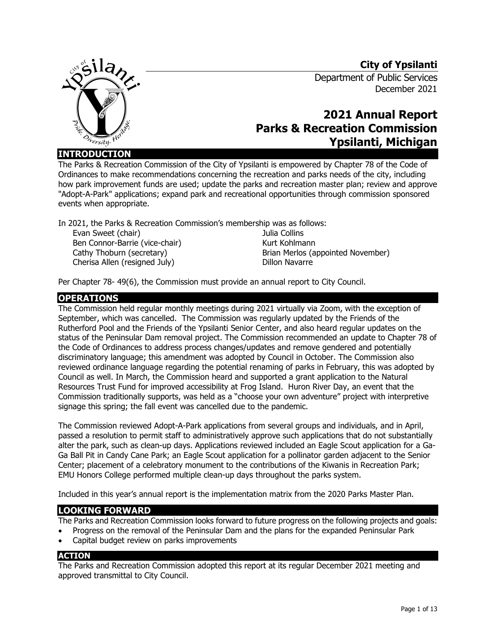## **City of Ypsilanti**



# Department of Public Services December 2021

# **2021 Annual Report Parks & Recreation Commission Ypsilanti, Michigan**

**INTRODUCTION**

The Parks & Recreation Commission of the City of Ypsilanti is empowered by Chapter 78 of the Code of Ordinances to make recommendations concerning the recreation and parks needs of the city, including how park improvement funds are used; update the parks and recreation master plan; review and approve "Adopt-A-Park" applications; expand park and recreational opportunities through commission sponsored events when appropriate.

In 2021, the Parks & Recreation Commission's membership was as follows:

Evan Sweet (chair) Ben Connor-Barrie (vice-chair) Cathy Thoburn (secretary) Cherisa Allen (resigned July)

Julia Collins Kurt Kohlmann Brian Merlos (appointed November) Dillon Navarre

Per Chapter 78- 49(6), the Commission must provide an annual report to City Council.

#### **OPERATIONS**

The Commission held regular monthly meetings during 2021 virtually via Zoom, with the exception of September, which was cancelled. The Commission was regularly updated by the Friends of the Rutherford Pool and the Friends of the Ypsilanti Senior Center, and also heard regular updates on the status of the Peninsular Dam removal project. The Commission recommended an update to Chapter 78 of the Code of Ordinances to address process changes/updates and remove gendered and potentially discriminatory language; this amendment was adopted by Council in October. The Commission also reviewed ordinance language regarding the potential renaming of parks in February, this was adopted by Council as well. In March, the Commission heard and supported a grant application to the Natural Resources Trust Fund for improved accessibility at Frog Island. Huron River Day, an event that the Commission traditionally supports, was held as a "choose your own adventure" project with interpretive signage this spring; the fall event was cancelled due to the pandemic.

The Commission reviewed Adopt-A-Park applications from several groups and individuals, and in April, passed a resolution to permit staff to administratively approve such applications that do not substantially alter the park, such as clean-up days. Applications reviewed included an Eagle Scout application for a Ga-Ga Ball Pit in Candy Cane Park; an Eagle Scout application for a pollinator garden adjacent to the Senior Center; placement of a celebratory monument to the contributions of the Kiwanis in Recreation Park; EMU Honors College performed multiple clean-up days throughout the parks system.

Included in this year's annual report is the implementation matrix from the 2020 Parks Master Plan.

### **LOOKING FORWARD**

The Parks and Recreation Commission looks forward to future progress on the following projects and goals:

- Progress on the removal of the Peninsular Dam and the plans for the expanded Peninsular Park
- Capital budget review on parks improvements

#### **ACTION**

The Parks and Recreation Commission adopted this report at its regular December 2021 meeting and approved transmittal to City Council.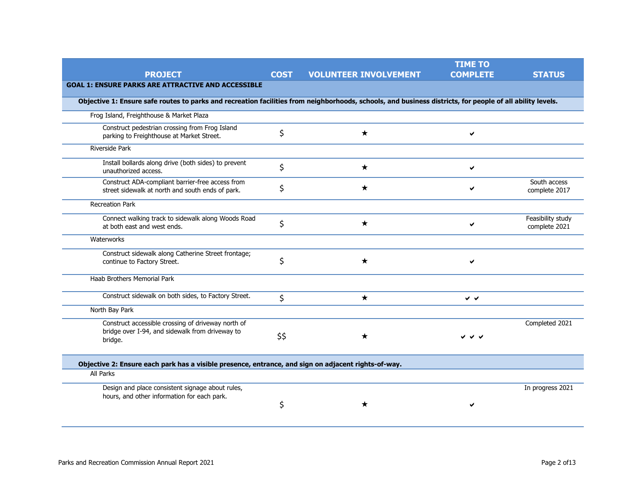|                                                                                                                                                           |             |                              | <b>TIME TO</b>            |                                    |
|-----------------------------------------------------------------------------------------------------------------------------------------------------------|-------------|------------------------------|---------------------------|------------------------------------|
| <b>PROJECT</b>                                                                                                                                            | <b>COST</b> | <b>VOLUNTEER INVOLVEMENT</b> | <b>COMPLETE</b>           | <b>STATUS</b>                      |
| <b>GOAL 1: ENSURE PARKS ARE ATTRACTIVE AND ACCESSIBLE</b>                                                                                                 |             |                              |                           |                                    |
| Objective 1: Ensure safe routes to parks and recreation facilities from neighborhoods, schools, and business districts, for people of all ability levels. |             |                              |                           |                                    |
| Frog Island, Freighthouse & Market Plaza                                                                                                                  |             |                              |                           |                                    |
| Construct pedestrian crossing from Frog Island<br>parking to Freighthouse at Market Street.                                                               | \$          | ★                            | ✔                         |                                    |
| <b>Riverside Park</b>                                                                                                                                     |             |                              |                           |                                    |
| Install bollards along drive (both sides) to prevent<br>unauthorized access.                                                                              | \$          | ★                            | ✔                         |                                    |
| Construct ADA-compliant barrier-free access from<br>street sidewalk at north and south ends of park.                                                      | \$          | ★                            | Й                         | South access<br>complete 2017      |
| <b>Recreation Park</b>                                                                                                                                    |             |                              |                           |                                    |
| Connect walking track to sidewalk along Woods Road<br>at both east and west ends.                                                                         | \$          | $\star$                      | м                         | Feasibility study<br>complete 2021 |
| Waterworks                                                                                                                                                |             |                              |                           |                                    |
| Construct sidewalk along Catherine Street frontage;<br>continue to Factory Street.                                                                        | \$          | ★                            | V                         |                                    |
| Haab Brothers Memorial Park                                                                                                                               |             |                              |                           |                                    |
| Construct sidewalk on both sides, to Factory Street.                                                                                                      | \$          | $\star$                      | $\checkmark$ $\checkmark$ |                                    |
| North Bay Park                                                                                                                                            |             |                              |                           |                                    |
| Construct accessible crossing of driveway north of<br>bridge over I-94, and sidewalk from driveway to<br>bridge.                                          | \$\$        | ★                            | シンン                       | Completed 2021                     |
| Objective 2: Ensure each park has a visible presence, entrance, and sign on adjacent rights-of-way.                                                       |             |                              |                           |                                    |
| All Parks                                                                                                                                                 |             |                              |                           |                                    |
| Design and place consistent signage about rules,                                                                                                          |             |                              |                           | In progress 2021                   |
| hours, and other information for each park.                                                                                                               | \$          | ★                            |                           |                                    |
|                                                                                                                                                           |             |                              |                           |                                    |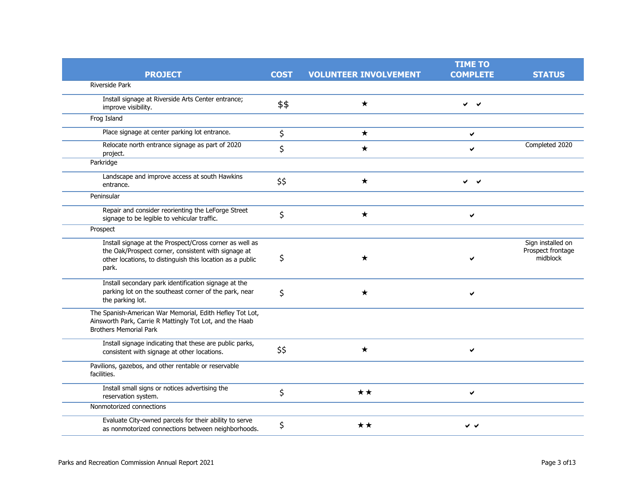|                                                                                                                                                                                      |             |                              | <b>TIME TO</b>    |                                                    |
|--------------------------------------------------------------------------------------------------------------------------------------------------------------------------------------|-------------|------------------------------|-------------------|----------------------------------------------------|
| <b>PROJECT</b>                                                                                                                                                                       | <b>COST</b> | <b>VOLUNTEER INVOLVEMENT</b> | <b>COMPLETE</b>   | <b>STATUS</b>                                      |
| Riverside Park                                                                                                                                                                       |             |                              |                   |                                                    |
| Install signage at Riverside Arts Center entrance;<br>improve visibility.                                                                                                            | \$\$        | $\star$                      | ✓<br>$\checkmark$ |                                                    |
| Frog Island                                                                                                                                                                          |             |                              |                   |                                                    |
| Place signage at center parking lot entrance.                                                                                                                                        | \$          | $\star$                      | ✔                 |                                                    |
| Relocate north entrance signage as part of 2020<br>project.                                                                                                                          | \$          | $\star$                      | ✔                 | Completed 2020                                     |
| Parkridge                                                                                                                                                                            |             |                              |                   |                                                    |
| Landscape and improve access at south Hawkins<br>entrance.                                                                                                                           | \$\$        | ★                            | ✓<br>$\checkmark$ |                                                    |
| Peninsular                                                                                                                                                                           |             |                              |                   |                                                    |
| Repair and consider reorienting the LeForge Street<br>signage to be legible to vehicular traffic.                                                                                    | \$          | $\star$                      | ✔                 |                                                    |
| Prospect                                                                                                                                                                             |             |                              |                   |                                                    |
| Install signage at the Prospect/Cross corner as well as<br>the Oak/Prospect corner, consistent with signage at<br>other locations, to distinguish this location as a public<br>park. | \$          | ★                            |                   | Sign installed on<br>Prospect frontage<br>midblock |
| Install secondary park identification signage at the<br>parking lot on the southeast corner of the park, near<br>the parking lot.                                                    | \$          | ★                            | ✔                 |                                                    |
| The Spanish-American War Memorial, Edith Hefley Tot Lot,<br>Ainsworth Park, Carrie R Mattingly Tot Lot, and the Haab<br><b>Brothers Memorial Park</b>                                |             |                              |                   |                                                    |
| Install signage indicating that these are public parks,<br>consistent with signage at other locations.                                                                               | \$\$        | $\star$                      | ✔                 |                                                    |
| Pavilions, gazebos, and other rentable or reservable<br>facilities.                                                                                                                  |             |                              |                   |                                                    |
| Install small signs or notices advertising the<br>reservation system.                                                                                                                | \$          | ★★                           | ✔                 |                                                    |
| Nonmotorized connections                                                                                                                                                             |             |                              |                   |                                                    |
| Evaluate City-owned parcels for their ability to serve<br>as nonmotorized connections between neighborhoods.                                                                         | \$          | ★★                           | ✔<br>$\checkmark$ |                                                    |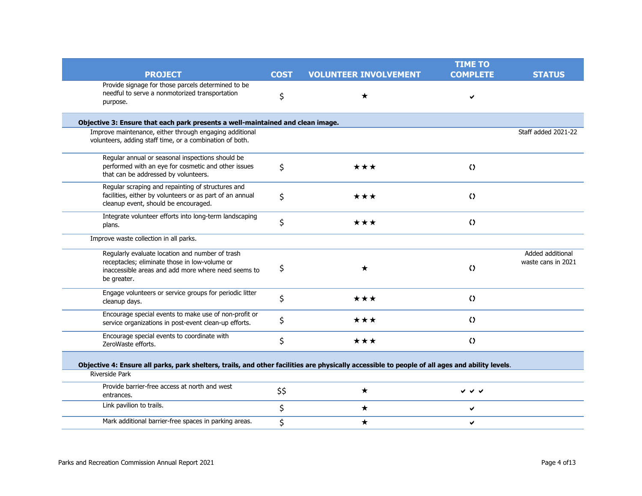|                                                                                                                                                                        |             |                              | <b>TIME TO</b>  |                                        |
|------------------------------------------------------------------------------------------------------------------------------------------------------------------------|-------------|------------------------------|-----------------|----------------------------------------|
| <b>PROJECT</b>                                                                                                                                                         | <b>COST</b> | <b>VOLUNTEER INVOLVEMENT</b> | <b>COMPLETE</b> | <b>STATUS</b>                          |
| Provide signage for those parcels determined to be<br>needful to serve a nonmotorized transportation<br>purpose.                                                       | \$          | $\star$                      | ✔               |                                        |
| Objective 3: Ensure that each park presents a well-maintained and clean image.                                                                                         |             |                              |                 |                                        |
| Improve maintenance, either through engaging additional<br>volunteers, adding staff time, or a combination of both.                                                    |             |                              |                 | Staff added 2021-22                    |
| Regular annual or seasonal inspections should be<br>performed with an eye for cosmetic and other issues<br>that can be addressed by volunteers.                        | \$          | ***                          | $\Omega$        |                                        |
| Regular scraping and repainting of structures and<br>facilities, either by volunteers or as part of an annual<br>cleanup event, should be encouraged.                  | \$          | ★★★                          | $\Omega$        |                                        |
| Integrate volunteer efforts into long-term landscaping<br>plans.                                                                                                       | \$          | ***                          | $\Omega$        |                                        |
| Improve waste collection in all parks.                                                                                                                                 |             |                              |                 |                                        |
| Regularly evaluate location and number of trash<br>receptacles; eliminate those in low-volume or<br>inaccessible areas and add more where need seems to<br>be greater. | \$          | ★                            | $\Omega$        | Added additional<br>waste cans in 2021 |
| Engage volunteers or service groups for periodic litter<br>cleanup days.                                                                                               | \$          | ★★★                          | $\Omega$        |                                        |
| Encourage special events to make use of non-profit or<br>service organizations in post-event clean-up efforts.                                                         | \$          | $\star\star\star$            | $\Omega$        |                                        |
| Encourage special events to coordinate with<br>ZeroWaste efforts.                                                                                                      | \$          | ***                          | $\Omega$        |                                        |
| Objective 4: Ensure all parks, park shelters, trails, and other facilities are physically accessible to people of all ages and ability levels.<br>Riverside Park       |             |                              |                 |                                        |
| Provide barrier-free access at north and west<br>entrances.                                                                                                            | \$\$        | $\star$                      | v v v           |                                        |
| Link pavilion to trails.                                                                                                                                               | \$          | $\star$                      | ✔               |                                        |
| Mark additional barrier-free spaces in parking areas.                                                                                                                  | \$          | $\star$                      | ✔               |                                        |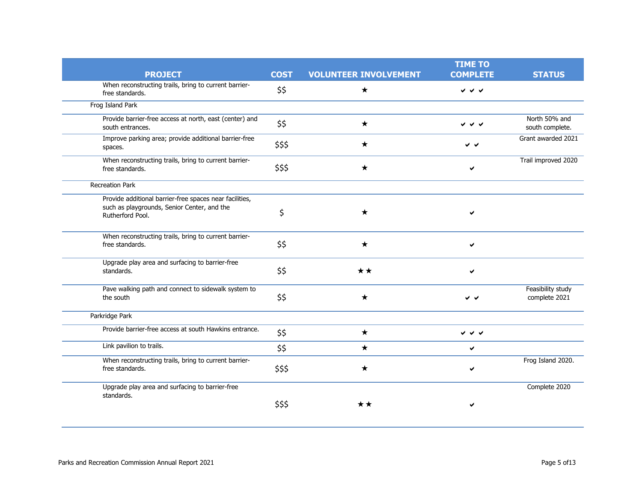|                                                                                                                            |             |                              | <b>TIME TO</b>                         |                                    |
|----------------------------------------------------------------------------------------------------------------------------|-------------|------------------------------|----------------------------------------|------------------------------------|
| <b>PROJECT</b>                                                                                                             | <b>COST</b> | <b>VOLUNTEER INVOLVEMENT</b> | <b>COMPLETE</b>                        | <b>STATUS</b>                      |
| When reconstructing trails, bring to current barrier-<br>free standards.                                                   | \$\$        | ★                            | $\checkmark$ $\checkmark$              |                                    |
| Frog Island Park                                                                                                           |             |                              |                                        |                                    |
| Provide barrier-free access at north, east (center) and<br>south entrances.                                                | \$\$        | $\star$                      | ✓ ✓ ✓                                  | North 50% and<br>south complete.   |
| Improve parking area; provide additional barrier-free<br>spaces.                                                           | \$\$\$      | ★                            | v v                                    | Grant awarded 2021                 |
| When reconstructing trails, bring to current barrier-<br>free standards.                                                   | \$\$\$      | ★                            |                                        | Trail improved 2020                |
| <b>Recreation Park</b>                                                                                                     |             |                              |                                        |                                    |
| Provide additional barrier-free spaces near facilities,<br>such as playgrounds, Senior Center, and the<br>Rutherford Pool. | \$          | ★                            |                                        |                                    |
| When reconstructing trails, bring to current barrier-<br>free standards.                                                   | \$\$        | $\bigstar$                   | ✔                                      |                                    |
| Upgrade play area and surfacing to barrier-free<br>standards.                                                              | \$\$        | ★★                           |                                        |                                    |
| Pave walking path and connect to sidewalk system to<br>the south                                                           | \$\$        | ★                            | v v                                    | Feasibility study<br>complete 2021 |
| Parkridge Park                                                                                                             |             |                              |                                        |                                    |
| Provide barrier-free access at south Hawkins entrance.                                                                     | \$\$        | $\star$                      | $\checkmark$ $\checkmark$ $\checkmark$ |                                    |
| Link pavilion to trails.                                                                                                   | \$\$        | $\star$                      | $\checkmark$                           |                                    |
| When reconstructing trails, bring to current barrier-<br>free standards.                                                   | \$\$\$      | ★                            | ✔                                      | Frog Island 2020.                  |
| Upgrade play area and surfacing to barrier-free                                                                            |             |                              |                                        | Complete 2020                      |
| standards.                                                                                                                 | \$\$\$      | **                           |                                        |                                    |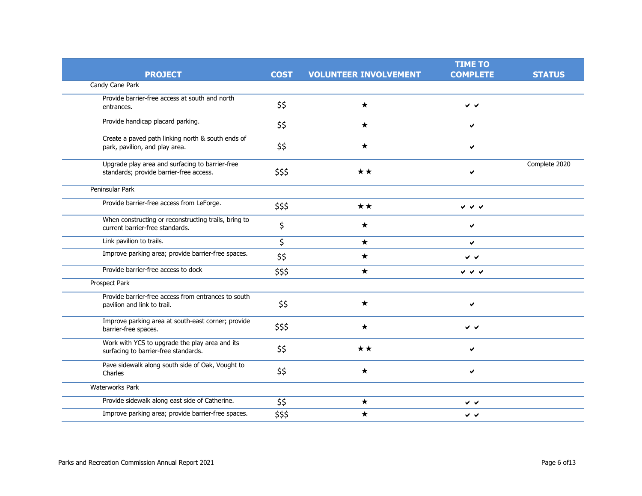|                                                                                            |             |                              | <b>TIME TO</b>            |               |
|--------------------------------------------------------------------------------------------|-------------|------------------------------|---------------------------|---------------|
| <b>PROJECT</b>                                                                             | <b>COST</b> | <b>VOLUNTEER INVOLVEMENT</b> | <b>COMPLETE</b>           | <b>STATUS</b> |
| Candy Cane Park                                                                            |             |                              |                           |               |
| Provide barrier-free access at south and north<br>entrances.                               | \$\$        | $\star$                      | v v                       |               |
| Provide handicap placard parking.                                                          | \$\$        | ★                            | $\checkmark$              |               |
| Create a paved path linking north & south ends of<br>park, pavilion, and play area.        | \$\$        | $\star$                      | ✔                         |               |
| Upgrade play area and surfacing to barrier-free<br>standards; provide barrier-free access. | \$\$\$      | $\star\star$                 |                           | Complete 2020 |
| Peninsular Park                                                                            |             |                              |                           |               |
| Provide barrier-free access from LeForge.                                                  | \$\$\$      | $\star\star$                 | $\checkmark$ $\checkmark$ |               |
| When constructing or reconstructing trails, bring to<br>current barrier-free standards.    | \$          | ★                            |                           |               |
| Link pavilion to trails.                                                                   | \$          | $\star$                      | ✔                         |               |
| Improve parking area; provide barrier-free spaces.                                         | \$\$        | $\star$                      | v v                       |               |
| Provide barrier-free access to dock                                                        | \$\$\$      | $\star$                      | シンシ                       |               |
| Prospect Park                                                                              |             |                              |                           |               |
| Provide barrier-free access from entrances to south<br>pavilion and link to trail.         | \$\$        | $\star$                      | ✔                         |               |
| Improve parking area at south-east corner; provide<br>barrier-free spaces.                 | \$\$\$      | ★                            | ∨ √                       |               |
| Work with YCS to upgrade the play area and its<br>surfacing to barrier-free standards.     | \$\$        | $\star\star$                 |                           |               |
| Pave sidewalk along south side of Oak, Vought to<br>Charles                                | \$\$        | ★                            | ✔                         |               |
| Waterworks Park                                                                            |             |                              |                           |               |
| Provide sidewalk along east side of Catherine.                                             | \$\$        | ★                            | v v                       |               |
| Improve parking area; provide barrier-free spaces.                                         | \$\$\$      | ★                            | v v                       |               |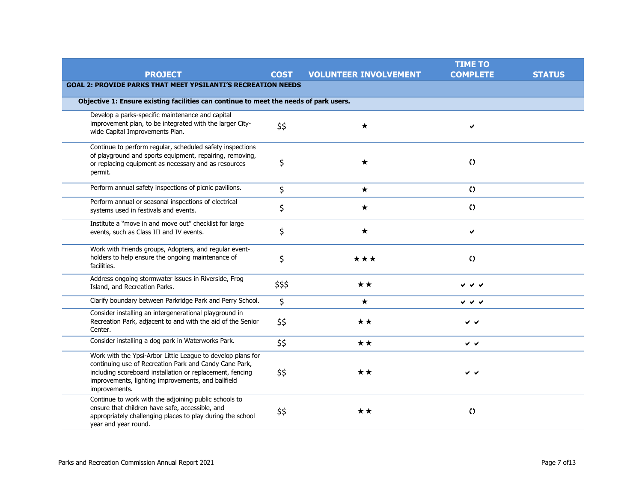|                                                                                                                                                                                                                                                           |             |                              | <b>TIME TO</b>            |               |  |  |
|-----------------------------------------------------------------------------------------------------------------------------------------------------------------------------------------------------------------------------------------------------------|-------------|------------------------------|---------------------------|---------------|--|--|
| <b>PROJECT</b>                                                                                                                                                                                                                                            | <b>COST</b> | <b>VOLUNTEER INVOLVEMENT</b> | <b>COMPLETE</b>           | <b>STATUS</b> |  |  |
| <b>GOAL 2: PROVIDE PARKS THAT MEET YPSILANTI'S RECREATION NEEDS</b>                                                                                                                                                                                       |             |                              |                           |               |  |  |
| Objective 1: Ensure existing facilities can continue to meet the needs of park users.                                                                                                                                                                     |             |                              |                           |               |  |  |
| Develop a parks-specific maintenance and capital                                                                                                                                                                                                          |             |                              |                           |               |  |  |
| improvement plan, to be integrated with the larger City-<br>wide Capital Improvements Plan.                                                                                                                                                               | \$\$        | $\star$                      | ✔                         |               |  |  |
| Continue to perform regular, scheduled safety inspections                                                                                                                                                                                                 |             |                              |                           |               |  |  |
| of playground and sports equipment, repairing, removing,<br>or replacing equipment as necessary and as resources<br>permit.                                                                                                                               | \$          | $\star$                      | $\Omega$                  |               |  |  |
| Perform annual safety inspections of picnic pavilions.                                                                                                                                                                                                    | \$          | $\star$                      | $\Omega$                  |               |  |  |
| Perform annual or seasonal inspections of electrical<br>systems used in festivals and events.                                                                                                                                                             | \$          | $\star$                      | $\Omega$                  |               |  |  |
| Institute a "move in and move out" checklist for large<br>events, such as Class III and IV events.                                                                                                                                                        | \$          | $\star$                      | ✓                         |               |  |  |
| Work with Friends groups, Adopters, and regular event-<br>holders to help ensure the ongoing maintenance of<br>facilities.                                                                                                                                | \$          | ***                          | $\Omega$                  |               |  |  |
| Address ongoing stormwater issues in Riverside, Frog<br>Island, and Recreation Parks.                                                                                                                                                                     | \$\$\$      | ★★                           | シンシ                       |               |  |  |
| Clarify boundary between Parkridge Park and Perry School.                                                                                                                                                                                                 | \$          | $\star$                      | シンジ                       |               |  |  |
| Consider installing an intergenerational playground in<br>Recreation Park, adjacent to and with the aid of the Senior<br>Center.                                                                                                                          | \$\$        | ★★                           | $\checkmark$ $\checkmark$ |               |  |  |
| Consider installing a dog park in Waterworks Park.                                                                                                                                                                                                        | \$\$        | ★★                           | $\checkmark$ $\checkmark$ |               |  |  |
| Work with the Ypsi-Arbor Little League to develop plans for<br>continuing use of Recreation Park and Candy Cane Park,<br>including scoreboard installation or replacement, fencing<br>improvements, lighting improvements, and ballfield<br>improvements. | \$\$        | ★★                           | ∨ √                       |               |  |  |
| Continue to work with the adjoining public schools to<br>ensure that children have safe, accessible, and<br>appropriately challenging places to play during the school<br>year and year round.                                                            | \$\$        | ★★                           | $\Omega$                  |               |  |  |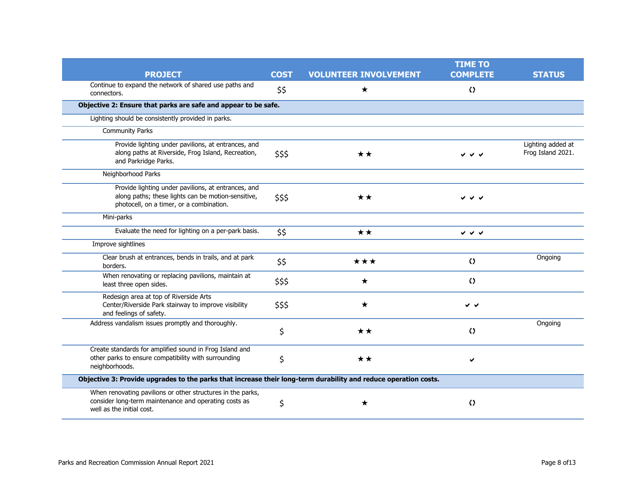|                                                                                                                                                       |             |                              | <b>TIME TO</b>            |                                        |  |
|-------------------------------------------------------------------------------------------------------------------------------------------------------|-------------|------------------------------|---------------------------|----------------------------------------|--|
| <b>PROJECT</b>                                                                                                                                        | <b>COST</b> | <b>VOLUNTEER INVOLVEMENT</b> | <b>COMPLETE</b>           | <b>STATUS</b>                          |  |
| Continue to expand the network of shared use paths and<br>connectors.                                                                                 | \$\$        | $\star$                      | $\Omega$                  |                                        |  |
| Objective 2: Ensure that parks are safe and appear to be safe.                                                                                        |             |                              |                           |                                        |  |
| Lighting should be consistently provided in parks.                                                                                                    |             |                              |                           |                                        |  |
| Community Parks                                                                                                                                       |             |                              |                           |                                        |  |
| Provide lighting under pavilions, at entrances, and<br>along paths at Riverside, Frog Island, Recreation,<br>and Parkridge Parks.                     | \$\$\$      | ★★                           |                           | Lighting added at<br>Frog Island 2021. |  |
| Neighborhood Parks                                                                                                                                    |             |                              |                           |                                        |  |
| Provide lighting under pavilions, at entrances, and<br>along paths; these lights can be motion-sensitive,<br>photocell, on a timer, or a combination. | \$\$\$      | $\star\star$                 | シンソ                       |                                        |  |
| Mini-parks                                                                                                                                            |             |                              |                           |                                        |  |
| Evaluate the need for lighting on a per-park basis.                                                                                                   | \$\$        | ★★                           | $\checkmark$ $\checkmark$ |                                        |  |
| Improve sightlines                                                                                                                                    |             |                              |                           |                                        |  |
| Clear brush at entrances, bends in trails, and at park<br>borders.                                                                                    | \$\$        | ***                          | $\Omega$                  | Ongoing                                |  |
| When renovating or replacing pavilions, maintain at<br>least three open sides.                                                                        | \$\$\$      | $\star$                      | $\Omega$                  |                                        |  |
| Redesign area at top of Riverside Arts<br>Center/Riverside Park stairway to improve visibility<br>and feelings of safety.                             | \$\$\$      | $\star$                      | ∨ √                       |                                        |  |
| Address vandalism issues promptly and thoroughly.                                                                                                     | \$          | ★★                           | $\Omega$                  | Ongoing                                |  |
| Create standards for amplified sound in Frog Island and<br>other parks to ensure compatibility with surrounding<br>neighborhoods.                     | \$          | ★★                           | ✔                         |                                        |  |
| Objective 3: Provide upgrades to the parks that increase their long-term durability and reduce operation costs.                                       |             |                              |                           |                                        |  |
| When renovating pavilions or other structures in the parks,<br>consider long-term maintenance and operating costs as<br>well as the initial cost.     | \$          | ★                            | $\Omega$                  |                                        |  |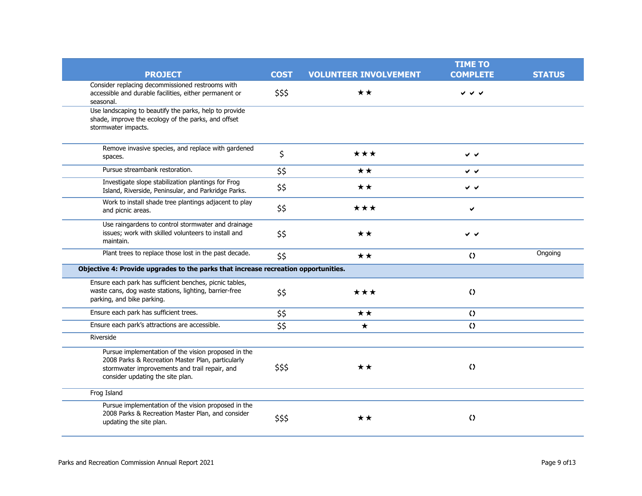|                                                                                                                                                                                               |             |                              | <b>TIME TO</b>            |               |
|-----------------------------------------------------------------------------------------------------------------------------------------------------------------------------------------------|-------------|------------------------------|---------------------------|---------------|
| <b>PROJECT</b>                                                                                                                                                                                | <b>COST</b> | <b>VOLUNTEER INVOLVEMENT</b> | <b>COMPLETE</b>           | <b>STATUS</b> |
| Consider replacing decommissioned restrooms with<br>accessible and durable facilities, either permanent or<br>seasonal.                                                                       | \$\$\$      | **                           | ∨ ∨                       |               |
| Use landscaping to beautify the parks, help to provide<br>shade, improve the ecology of the parks, and offset<br>stormwater impacts.                                                          |             |                              |                           |               |
| Remove invasive species, and replace with gardened<br>spaces.                                                                                                                                 | \$          | ★★★                          | v v                       |               |
| Pursue streambank restoration.                                                                                                                                                                | \$\$        | **                           | $\checkmark$ $\checkmark$ |               |
| Investigate slope stabilization plantings for Frog<br>Island, Riverside, Peninsular, and Parkridge Parks.                                                                                     | \$\$        | ★★                           | $\checkmark$              |               |
| Work to install shade tree plantings adjacent to play<br>and picnic areas.                                                                                                                    | \$\$        | ★★★                          | ✔                         |               |
| Use raingardens to control stormwater and drainage<br>issues; work with skilled volunteers to install and<br>maintain.                                                                        | \$\$        | ★★                           | v v                       |               |
| Plant trees to replace those lost in the past decade.                                                                                                                                         | \$\$        | $\star\star$                 | $\Omega$                  | Ongoing       |
| Objective 4: Provide upgrades to the parks that increase recreation opportunities.                                                                                                            |             |                              |                           |               |
| Ensure each park has sufficient benches, picnic tables,<br>waste cans, dog waste stations, lighting, barrier-free<br>parking, and bike parking.                                               | \$\$        | ★★★                          | $\Omega$                  |               |
| Ensure each park has sufficient trees.                                                                                                                                                        | \$\$        | ★★                           | $\Omega$                  |               |
| Ensure each park's attractions are accessible.                                                                                                                                                | \$\$        | $\star$                      | $\Omega$                  |               |
| Riverside                                                                                                                                                                                     |             |                              |                           |               |
| Pursue implementation of the vision proposed in the<br>2008 Parks & Recreation Master Plan, particularly<br>stormwater improvements and trail repair, and<br>consider updating the site plan. | \$\$\$      | **                           | $\langle \rangle$         |               |
| Frog Island                                                                                                                                                                                   |             |                              |                           |               |
| Pursue implementation of the vision proposed in the<br>2008 Parks & Recreation Master Plan, and consider<br>updating the site plan.                                                           | \$\$\$      | **                           | $\langle \rangle$         |               |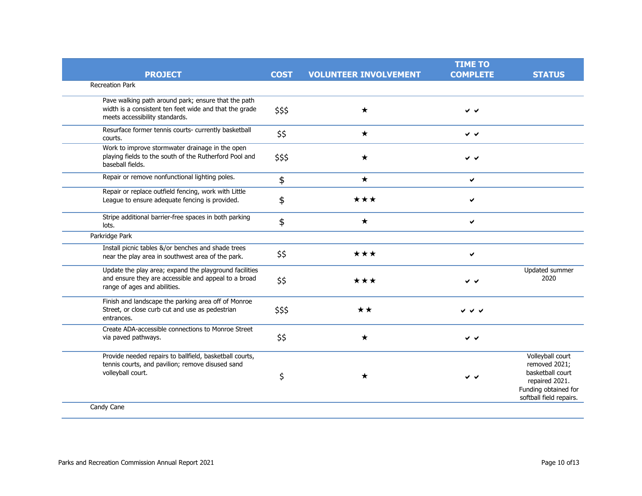|                                                                                                                                                 |             |                              | <b>TIME TO</b>  |                                                                                                                            |
|-------------------------------------------------------------------------------------------------------------------------------------------------|-------------|------------------------------|-----------------|----------------------------------------------------------------------------------------------------------------------------|
| <b>PROJECT</b>                                                                                                                                  | <b>COST</b> | <b>VOLUNTEER INVOLVEMENT</b> | <b>COMPLETE</b> | <b>STATUS</b>                                                                                                              |
| <b>Recreation Park</b>                                                                                                                          |             |                              |                 |                                                                                                                            |
| Pave walking path around park; ensure that the path<br>width is a consistent ten feet wide and that the grade<br>meets accessibility standards. | \$\$\$      | $\star$                      | v v             |                                                                                                                            |
| Resurface former tennis courts- currently basketball<br>courts.                                                                                 | \$\$        | $\bigstar$                   | v v             |                                                                                                                            |
| Work to improve stormwater drainage in the open<br>playing fields to the south of the Rutherford Pool and<br>baseball fields.                   | \$\$\$      | $\star$                      | v v             |                                                                                                                            |
| Repair or remove nonfunctional lighting poles.                                                                                                  | \$          | $\star$                      | ✔               |                                                                                                                            |
| Repair or replace outfield fencing, work with Little<br>League to ensure adequate fencing is provided.                                          | \$          | ★★★                          | ✓               |                                                                                                                            |
| Stripe additional barrier-free spaces in both parking<br>lots.                                                                                  | \$          | $\star$                      | ✔               |                                                                                                                            |
| Parkridge Park                                                                                                                                  |             |                              |                 |                                                                                                                            |
| Install picnic tables &/or benches and shade trees<br>near the play area in southwest area of the park.                                         | \$\$        | ★★★                          | ✔               |                                                                                                                            |
| Update the play area; expand the playground facilities<br>and ensure they are accessible and appeal to a broad<br>range of ages and abilities.  | \$\$        | ★★★                          | v v             | Updated summer<br>2020                                                                                                     |
| Finish and landscape the parking area off of Monroe<br>Street, or close curb cut and use as pedestrian<br>entrances.                            | \$\$\$      | $\star\star$                 | <b>∀ Y Y</b>    |                                                                                                                            |
| Create ADA-accessible connections to Monroe Street<br>via paved pathways.                                                                       | \$\$        | $\star$                      | v v             |                                                                                                                            |
| Provide needed repairs to ballfield, basketball courts,<br>tennis courts, and pavilion; remove disused sand<br>volleyball court.                | \$          | ★                            | v v             | Volleyball court<br>removed 2021;<br>basketball court<br>repaired 2021.<br>Funding obtained for<br>softball field repairs. |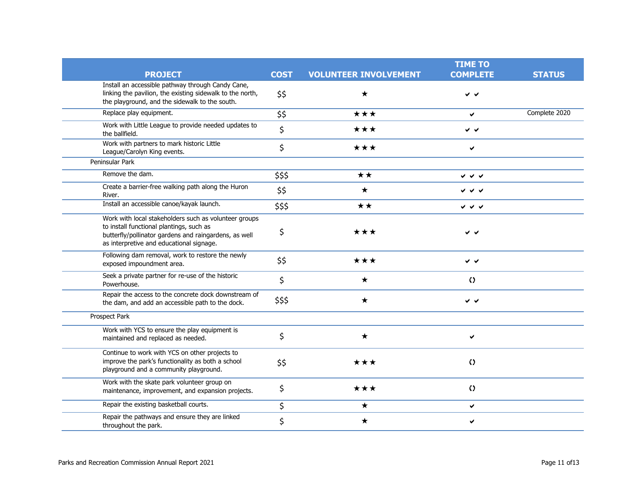|                                                                                                                                                                                                        |             |                              | <b>TIME TO</b>  |               |
|--------------------------------------------------------------------------------------------------------------------------------------------------------------------------------------------------------|-------------|------------------------------|-----------------|---------------|
| <b>PROJECT</b>                                                                                                                                                                                         | <b>COST</b> | <b>VOLUNTEER INVOLVEMENT</b> | <b>COMPLETE</b> | <b>STATUS</b> |
| Install an accessible pathway through Candy Cane,<br>linking the pavilion, the existing sidewalk to the north,<br>the playground, and the sidewalk to the south.                                       | \$\$        | ★                            | $\checkmark$    |               |
| Replace play equipment.                                                                                                                                                                                | \$\$        | ***                          | $\checkmark$    | Complete 2020 |
| Work with Little League to provide needed updates to<br>the ballfield.                                                                                                                                 | \$          | ★★★                          | ∨ √             |               |
| Work with partners to mark historic Little<br>League/Carolyn King events.                                                                                                                              | \$          | ★★★                          | ✔               |               |
| Peninsular Park                                                                                                                                                                                        |             |                              |                 |               |
| Remove the dam.                                                                                                                                                                                        | \$\$\$      | ★★                           | シンシ             |               |
| Create a barrier-free walking path along the Huron<br>River.                                                                                                                                           | \$\$        | ★                            | <b>↓ ↓ ↓</b>    |               |
| Install an accessible canoe/kayak launch.                                                                                                                                                              | \$\$\$      | $\star\star$                 | レンシ             |               |
| Work with local stakeholders such as volunteer groups<br>to install functional plantings, such as<br>butterfly/pollinator gardens and raingardens, as well<br>as interpretive and educational signage. | \$          | ★★★                          | v v             |               |
| Following dam removal, work to restore the newly<br>exposed impoundment area.                                                                                                                          | \$\$        | ★★★                          | v v             |               |
| Seek a private partner for re-use of the historic<br>Powerhouse.                                                                                                                                       | \$          | $\star$                      | $\Omega$        |               |
| Repair the access to the concrete dock downstream of<br>the dam, and add an accessible path to the dock.                                                                                               | \$\$\$      | $\star$                      | v v             |               |
| Prospect Park                                                                                                                                                                                          |             |                              |                 |               |
| Work with YCS to ensure the play equipment is<br>maintained and replaced as needed.                                                                                                                    | \$          | $\star$                      | ✔               |               |
| Continue to work with YCS on other projects to<br>improve the park's functionality as both a school<br>playground and a community playground.                                                          | \$\$        | ★★★                          | $\Omega$        |               |
| Work with the skate park volunteer group on<br>maintenance, improvement, and expansion projects.                                                                                                       | \$          | ★★★                          | $\Omega$        |               |
| Repair the existing basketball courts.                                                                                                                                                                 | \$          | ★                            | ✔               |               |
| Repair the pathways and ensure they are linked<br>throughout the park.                                                                                                                                 | \$          | ★                            |                 |               |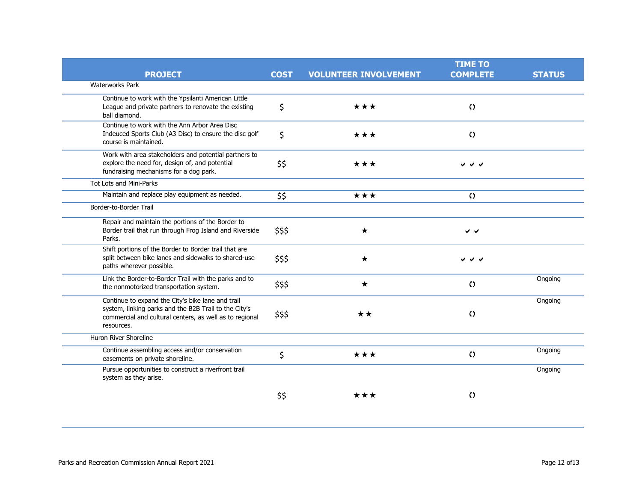|                                                                                                                                                                                     |             |                              | <b>TIME TO</b>            |               |
|-------------------------------------------------------------------------------------------------------------------------------------------------------------------------------------|-------------|------------------------------|---------------------------|---------------|
| <b>PROJECT</b>                                                                                                                                                                      | <b>COST</b> | <b>VOLUNTEER INVOLVEMENT</b> | <b>COMPLETE</b>           | <b>STATUS</b> |
| <b>Waterworks Park</b>                                                                                                                                                              |             |                              |                           |               |
| Continue to work with the Ypsilanti American Little<br>League and private partners to renovate the existing<br>ball diamond.                                                        | \$          | ***                          | $\Omega$                  |               |
| Continue to work with the Ann Arbor Area Disc<br>Indeuced Sports Club (A3 Disc) to ensure the disc golf<br>course is maintained.                                                    | \$          | ★★★                          | $\Omega$                  |               |
| Work with area stakeholders and potential partners to<br>explore the need for, design of, and potential<br>fundraising mechanisms for a dog park.                                   | \$\$        | ***                          | v v<br>✔                  |               |
| Tot Lots and Mini-Parks                                                                                                                                                             |             |                              |                           |               |
| Maintain and replace play equipment as needed.                                                                                                                                      | \$\$        | ★★★                          | $\Omega$                  |               |
| Border-to-Border Trail                                                                                                                                                              |             |                              |                           |               |
| Repair and maintain the portions of the Border to<br>Border trail that run through Frog Island and Riverside<br>Parks.                                                              | \$\$\$      | $\star$                      | v v                       |               |
| Shift portions of the Border to Border trail that are<br>split between bike lanes and sidewalks to shared-use<br>paths wherever possible.                                           | \$\$\$      | $\star$                      | $\checkmark$ $\checkmark$ |               |
| Link the Border-to-Border Trail with the parks and to<br>the nonmotorized transportation system.                                                                                    | \$\$\$      | $\star$                      | $\Omega$                  | Ongoing       |
| Continue to expand the City's bike lane and trail<br>system, linking parks and the B2B Trail to the City's<br>commercial and cultural centers, as well as to regional<br>resources. | \$\$\$      | ★★                           | $\Omega$                  | Ongoing       |
| Huron River Shoreline                                                                                                                                                               |             |                              |                           |               |
| Continue assembling access and/or conservation<br>easements on private shoreline.                                                                                                   | \$          | ★★★                          | $\Omega$                  | Ongoing       |
| Pursue opportunities to construct a riverfront trail<br>system as they arise.                                                                                                       |             |                              |                           | Ongoing       |
|                                                                                                                                                                                     | \$\$        | ***                          | $\Omega$                  |               |